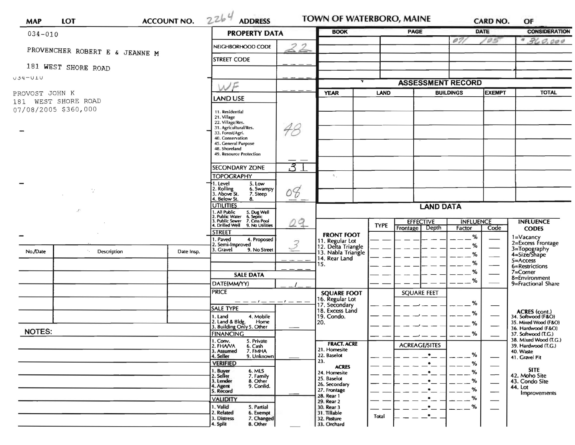| $034 - 010$                              |                                | <b>PROPERTY DATA</b> | <b>BOOK</b>                                                                                                                     |                  | <b>PAGE</b>                              | <b>DATE</b> |                                              | <b>CONSIDERATION</b> |                          |                                                                    |  |
|------------------------------------------|--------------------------------|----------------------|---------------------------------------------------------------------------------------------------------------------------------|------------------|------------------------------------------|-------------|----------------------------------------------|----------------------|--------------------------|--------------------------------------------------------------------|--|
|                                          |                                |                      |                                                                                                                                 |                  |                                          |             | 02                                           | <b>GS</b>            | 360.000<br>$\sigma$      |                                                                    |  |
|                                          | PROVENCHER ROBERT E & JEANNE M | NEIGHBORHOOD CODE    |                                                                                                                                 |                  |                                          |             |                                              |                      |                          |                                                                    |  |
|                                          | 181 WEST SHORE ROAD            |                      | <b>STREET CODE</b>                                                                                                              |                  |                                          |             |                                              |                      |                          |                                                                    |  |
| $U1U- P3U$                               |                                |                      |                                                                                                                                 |                  |                                          |             |                                              |                      |                          |                                                                    |  |
|                                          |                                | NF                   |                                                                                                                                 |                  |                                          |             | <b>ASSESSMENT RECORD</b><br><b>BUILDINGS</b> |                      |                          |                                                                    |  |
| PROVOST JOHN K<br>WEST SHORE ROAD<br>181 |                                |                      | <b>LAND USE</b>                                                                                                                 |                  | <b>YEAR</b>                              | <b>LAND</b> |                                              | <b>EXEMPT</b>        |                          | <b>TOTAL</b>                                                       |  |
| 07/08/2005 \$360,000                     |                                |                      | 11. Residential                                                                                                                 |                  |                                          |             |                                              |                      |                          |                                                                    |  |
|                                          |                                |                      | 21. Village<br>22. Village/Res.                                                                                                 |                  |                                          |             |                                              |                      |                          |                                                                    |  |
|                                          |                                |                      | 31. Agricultural/Res.<br>33. Forest/Agri.                                                                                       | 48               |                                          |             |                                              |                      |                          |                                                                    |  |
|                                          |                                |                      | 40. Conservation<br>45. General Purpose                                                                                         |                  |                                          |             |                                              |                      |                          |                                                                    |  |
|                                          |                                |                      | 48. Shoreland<br>49. Resource Protection                                                                                        |                  |                                          |             |                                              |                      |                          |                                                                    |  |
|                                          |                                |                      | <b>SECONDARY ZONE</b>                                                                                                           | 3                |                                          |             |                                              |                      |                          |                                                                    |  |
|                                          |                                |                      | <b>TOPOGRAPHY</b>                                                                                                               |                  | $\sim$ .                                 |             |                                              |                      |                          |                                                                    |  |
|                                          | Ō,                             |                      | 5. Low<br>1. Level<br>6. Swampy                                                                                                 |                  |                                          |             |                                              |                      |                          |                                                                    |  |
|                                          |                                |                      | 2. Rolling<br>3. Above St.<br>7. Steep<br>4. Below St.<br>8.                                                                    | 08               |                                          |             |                                              |                      |                          |                                                                    |  |
| $\cdot$                                  |                                |                      | <b>UTILITIES</b>                                                                                                                | <b>LAND DATA</b> |                                          |             |                                              |                      |                          |                                                                    |  |
|                                          |                                |                      | 1. All Public 5. Dug Well<br>2. Public Water 6. Septic<br>3. Public Sewer 7. Cess Pool<br>4. Drilled Well 9. No Utilities<br>29 |                  |                                          |             | <b>EFFECTIVE</b>                             | <b>INFLUENCE</b>     |                          | <b>INFLUENCE</b>                                                   |  |
|                                          |                                |                      | <b>STREET</b>                                                                                                                   |                  |                                          | <b>TYPE</b> | Depth<br>Frontage                            | Factor               | Code                     | <b>CODES</b>                                                       |  |
|                                          |                                |                      | 4. Proposed<br>1. Paved<br>2. Semi-Improved                                                                                     | $\mathcal{Z}$    | <b>FRONT FOOT</b><br>11. Regular Lot     |             |                                              | %<br>$\%$            |                          | 1=Vacancy<br>2=Excess Frontage                                     |  |
| No./Date                                 | Description                    | Date Insp.           | 3. Gravel<br>9. No Street                                                                                                       |                  | 12. Delta Triangle<br>13. Nabla Triangle |             |                                              | ℅                    |                          | 3=Topography<br>4=Size/Shape                                       |  |
|                                          |                                |                      |                                                                                                                                 |                  | 14. Rear Land<br>15.                     |             |                                              | %                    | $\overline{\phantom{0}}$ | 5=Access<br>6=Restrictions                                         |  |
|                                          |                                |                      | <b>SALE DATA</b>                                                                                                                |                  |                                          |             |                                              | %                    |                          | 7=Corner<br>8=Environment                                          |  |
|                                          |                                |                      | DATE(MM/YY)                                                                                                                     |                  |                                          |             |                                              | %                    |                          | 9=Fractional Share                                                 |  |
|                                          |                                |                      | <b>PRICE</b>                                                                                                                    |                  | <b>SQUARE FOOT</b><br>16. Regular Lot    |             | <b>SQUARE FEET</b>                           |                      |                          |                                                                    |  |
|                                          |                                |                      | <b>SALE TYPE</b>                                                                                                                |                  | 17. Secondary<br>18. Excess Land         |             |                                              | %                    |                          |                                                                    |  |
|                                          |                                |                      | 1. Land<br>4. Mobile<br>2. Land & Bldg.<br>Home                                                                                 |                  | 19. Condo.<br>20.                        |             |                                              | %                    |                          | <b>ACRES</b> (cont.)<br>34. Softwood (F&O)<br>35. Mixed Wood (F&O) |  |
| <b>NOTES:</b>                            |                                |                      | 3. Building Only 5. Other                                                                                                       |                  |                                          |             |                                              | %                    |                          | 36. Hardwood (F&O)                                                 |  |
|                                          |                                |                      | <b>FINANCING</b><br>1. Conv.<br>5. Private                                                                                      |                  | <b>FRACT. ACRE</b>                       |             |                                              | %                    |                          | 37. Softwood (T.G.)<br>38. Mixed Wood (T.G.)                       |  |
|                                          |                                |                      | 2. FHAVA<br>6. Cash<br>3. Assumed<br>7. FMHA                                                                                    |                  | 21. Homesite                             |             | <b>ACREAGE/SITES</b>                         | %                    |                          | 39. Hardwood (T.G.)<br>40. Waste                                   |  |
|                                          |                                |                      | 4. Seller<br>9. Unknown<br><b>VERIFIED</b>                                                                                      |                  | 22. Baselot<br>23.                       |             |                                              | %                    |                          | 41. Gravel Pit                                                     |  |
|                                          |                                |                      | 1. Buyer<br>2. Seller<br>6. MLS<br>7. Family                                                                                    |                  | <b>ACRES</b><br>24. Homesite             |             |                                              | %                    | $\hspace{0.05cm}$        | <b>SITE</b><br>42. Moho Site                                       |  |
|                                          |                                |                      |                                                                                                                                 |                  | 25. Baselot                              |             |                                              | %                    |                          | 43. Condo Site                                                     |  |
|                                          |                                |                      | 8. Other<br>3. Lender                                                                                                           |                  | 26. Secondary                            |             |                                              |                      |                          |                                                                    |  |
|                                          |                                |                      | 9. Confid.<br>4. Agent<br>5. Record                                                                                             |                  | 27. Frontage<br>28. Rear 1               |             |                                              | %                    |                          | 44. Lot<br>Improvements                                            |  |
|                                          |                                |                      | <b>VALIDITY</b><br>1. Valid<br>5. Partial<br>6. Exempt                                                                          |                  | 29. Rear 2<br>30. Rear 3<br>31. Tillable |             |                                              | %<br>%               |                          |                                                                    |  |